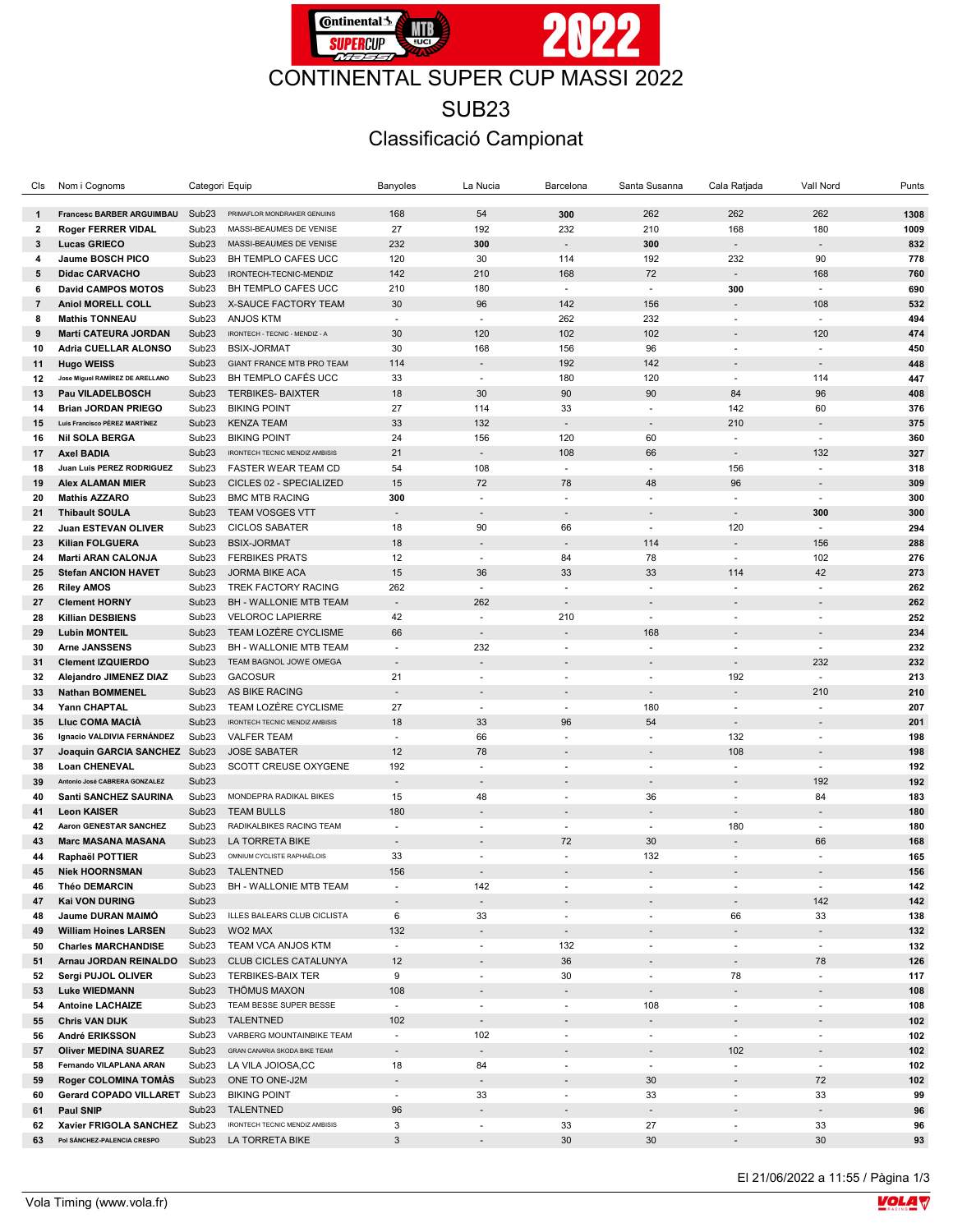

## SUB23 Classificació Campionat

| Cls            | Nom i Cognoms                                              | Categori Equip                         |                                                 | Banyoles                 | La Nucia                                             | Barcelona                | Santa Susanna                                        | Cala Ratjada             | Vall Nord                                            | Punts      |
|----------------|------------------------------------------------------------|----------------------------------------|-------------------------------------------------|--------------------------|------------------------------------------------------|--------------------------|------------------------------------------------------|--------------------------|------------------------------------------------------|------------|
|                |                                                            |                                        |                                                 |                          |                                                      |                          |                                                      |                          |                                                      |            |
| $\mathbf{1}$   | <b>Francesc BARBER ARGUIMBAU</b>                           | Sub <sub>23</sub>                      | PRIMAFLOR MONDRAKER GENUINS                     | 168                      | 54                                                   | 300                      | 262                                                  | 262                      | 262                                                  | 1308       |
| 2              | <b>Roger FERRER VIDAL</b>                                  | Sub <sub>23</sub>                      | MASSI-BEAUMES DE VENISE                         | 27                       | 192                                                  | 232                      | 210                                                  | 168                      | 180                                                  | 1009       |
| 3              | <b>Lucas GRIECO</b>                                        | Sub <sub>23</sub>                      | MASSI-BEAUMES DE VENISE                         | 232                      | 300                                                  |                          | 300                                                  |                          |                                                      | 832        |
| 4              | Jaume BOSCH PICO                                           | Sub <sub>23</sub>                      | BH TEMPLO CAFES UCC                             | 120                      | 30                                                   | 114                      | 192                                                  | 232                      | 90                                                   | 778        |
| 5              | <b>Didac CARVACHO</b>                                      | Sub <sub>23</sub>                      | IRONTECH-TECNIC-MENDIZ                          | 142                      | 210                                                  | 168                      | 72                                                   |                          | 168                                                  | 760        |
| 6              | <b>David CAMPOS MOTOS</b>                                  | Sub <sub>23</sub>                      | BH TEMPLO CAFES UCC                             | 210                      | 180                                                  | ÷.                       | ÷.                                                   | 300                      | ×.                                                   | 690        |
| $\overline{7}$ | <b>Aniol MORELL COLL</b>                                   | Sub <sub>23</sub>                      | X-SAUCE FACTORY TEAM                            | 30                       | 96                                                   | 142                      | 156                                                  |                          | 108                                                  | 532        |
| 8              | <b>Mathis TONNEAU</b>                                      | Sub <sub>23</sub>                      | <b>ANJOS KTM</b>                                | $\blacksquare$           | $\overline{\phantom{a}}$                             | 262                      | 232                                                  | $\overline{\phantom{a}}$ | $\blacksquare$                                       | 494        |
| 9              | <b>Martí CATEURA JORDAN</b>                                | Sub <sub>23</sub>                      | IRONTECH - TECNIC - MENDIZ - A                  | 30                       | 120                                                  | 102                      | 102                                                  |                          | 120                                                  | 474        |
| 10             | Adria CUELLAR ALONSO                                       | Sub <sub>23</sub>                      | <b>BSIX-JORMAT</b>                              | 30                       | 168                                                  | 156                      | 96                                                   | $\sim$                   | ä,                                                   | 450        |
| 11             | <b>Hugo WEISS</b>                                          | Sub <sub>23</sub>                      | GIANT FRANCE MTB PRO TEAM                       | 114                      |                                                      | 192                      | 142                                                  |                          |                                                      | 448        |
| 12             | Jose Miguel RAMÍREZ DE ARELLANO<br><b>Pau VILADELBOSCH</b> | Sub <sub>23</sub><br>Sub <sub>23</sub> | BH TEMPLO CAFÉS UCC<br><b>TERBIKES- BAIXTER</b> | 33<br>18                 | $\overline{\phantom{a}}$<br>30                       | 180<br>90                | 120<br>90                                            | $\blacksquare$<br>84     | 114<br>96                                            | 447        |
| 13<br>14       | <b>Brian JORDAN PRIEGO</b>                                 | Sub <sub>23</sub>                      | <b>BIKING POINT</b>                             | 27                       | 114                                                  | 33                       | $\sim$                                               | 142                      | 60                                                   | 408<br>376 |
|                | Luis Francisco PÉREZ MARTÍNEZ                              | Sub <sub>23</sub>                      | <b>KENZA TEAM</b>                               | 33                       | 132                                                  |                          |                                                      | 210                      |                                                      | 375        |
| 15<br>16       | <b>Nil SOLA BERGA</b>                                      | Sub <sub>23</sub>                      | <b>BIKING POINT</b>                             | 24                       | 156                                                  | 120                      | 60                                                   | $\sim$                   | ÷.                                                   | 360        |
| 17             | <b>Axel BADIA</b>                                          | Sub <sub>23</sub>                      | <b>IRONTECH TECNIC MENDIZ AMBISIS</b>           | 21                       | $\overline{\phantom{a}}$                             | 108                      | 66                                                   | $\overline{\phantom{a}}$ | 132                                                  | 327        |
| 18             | Juan Luis PEREZ RODRIGUEZ                                  | Sub <sub>23</sub>                      | <b>FASTER WEAR TEAM CD</b>                      | 54                       | 108                                                  | $\overline{\phantom{a}}$ | $\overline{\phantom{a}}$                             | 156                      | $\overline{\phantom{a}}$                             | 318        |
| 19             | <b>Alex ALAMAN MIER</b>                                    | Sub <sub>23</sub>                      | CICLES 02 - SPECIALIZED                         | 15                       | 72                                                   | 78                       | 48                                                   | 96                       |                                                      | 309        |
| 20             | <b>Mathis AZZARO</b>                                       | Sub <sub>23</sub>                      | <b>BMC MTB RACING</b>                           | 300                      | ÷.                                                   | ÷.                       | ÷                                                    | $\sim$                   | ÷.                                                   | 300        |
| 21             | <b>Thibault SOULA</b>                                      | Sub <sub>23</sub>                      | <b>TEAM VOSGES VTT</b>                          | $\sim$                   |                                                      | $\overline{\phantom{a}}$ |                                                      | $\blacksquare$           | 300                                                  | 300        |
| 22             | <b>Juan ESTEVAN OLIVER</b>                                 | Sub <sub>23</sub>                      | <b>CICLOS SABATER</b>                           | 18                       | 90                                                   | 66                       | $\sim$                                               | 120                      |                                                      | 294        |
| 23             | <b>Kilian FOLGUERA</b>                                     | Sub <sub>23</sub>                      | <b>BSIX-JORMAT</b>                              | 18                       |                                                      |                          | 114                                                  | $\blacksquare$           | 156                                                  | 288        |
| 24             | <b>Marti ARAN CALONJA</b>                                  | Sub <sub>23</sub>                      | <b>FERBIKES PRATS</b>                           | 12                       | $\sim$                                               | 84                       | 78                                                   | $\mathbf{r}$             | 102                                                  | 276        |
| 25             | <b>Stefan ANCION HAVET</b>                                 | Sub <sub>23</sub>                      | <b>JORMA BIKE ACA</b>                           | 15                       | 36                                                   | 33                       | 33                                                   | 114                      | 42                                                   | 273        |
| 26             | <b>Riley AMOS</b>                                          | Sub <sub>23</sub>                      | <b>TREK FACTORY RACING</b>                      | 262                      | ÷.                                                   | ÷                        | ÷.                                                   | ÷.                       |                                                      | 262        |
| 27             | <b>Clement HORNY</b>                                       | Sub <sub>23</sub>                      | BH - WALLONIE MTB TEAM                          | $\mathbb{Z}^2$           | 262                                                  | $\sim$                   |                                                      | ÷                        |                                                      | 262        |
| 28             | <b>Killian DESBIENS</b>                                    | Sub <sub>23</sub>                      | <b>VELOROC LAPIERRE</b>                         | 42                       | ÷.                                                   | 210                      | $\sim$                                               | $\blacksquare$           | $\overline{\phantom{a}}$                             | 252        |
| 29             | <b>Lubin MONTEIL</b>                                       | Sub <sub>23</sub>                      | TEAM LOZÈRE CYCLISME                            | 66                       | $\overline{\phantom{a}}$                             | $\overline{\phantom{a}}$ | 168                                                  |                          |                                                      | 234        |
| 30             | <b>Arne JANSSENS</b>                                       | Sub <sub>23</sub>                      | BH - WALLONIE MTB TEAM                          | $\sim$                   | 232                                                  | ÷                        | ×.                                                   | ä,                       | ÷.                                                   | 232        |
| 31             | <b>Clement IZQUIERDO</b>                                   | Sub <sub>23</sub>                      | TEAM BAGNOL JOWE OMEGA                          | $\sim$                   |                                                      |                          |                                                      | $\blacksquare$           | 232                                                  | 232        |
| 32             | Alejandro JIMENEZ DIAZ                                     | Sub <sub>23</sub>                      | <b>GACOSUR</b>                                  | 21                       | $\overline{\phantom{a}}$                             | $\overline{\phantom{a}}$ | $\overline{\phantom{a}}$                             | 192                      |                                                      | 213        |
| 33             | <b>Nathan BOMMENEL</b>                                     | Sub <sub>23</sub>                      | AS BIKE RACING                                  |                          |                                                      |                          |                                                      |                          | 210                                                  | 210        |
| 34             | Yann CHAPTAL                                               | Sub <sub>23</sub>                      | TEAM LOZÈRE CYCLISME                            | 27                       | $\mathcal{L}_{\mathcal{A}}$                          | $\omega$                 | 180                                                  | ×.                       | ×.                                                   | 207        |
| 35             | <b>Lluc COMA MACIA</b>                                     | Sub <sub>23</sub>                      | IRONTECH TECNIC MENDIZ AMBISIS                  | 18                       | 33                                                   | 96                       | 54                                                   | $\blacksquare$           |                                                      | 201        |
| 36             | Ignacio VALDIVIA FERNÁNDEZ                                 | Sub <sub>23</sub>                      | <b>VALFER TEAM</b>                              | ÷.                       | 66                                                   | ÷                        |                                                      | 132                      |                                                      | 198        |
| 37             | Joaquin GARCIA SANCHEZ Sub23                               |                                        | <b>JOSE SABATER</b>                             | 12                       | 78                                                   | $\overline{\phantom{0}}$ |                                                      | 108                      |                                                      | 198        |
| 38             | <b>Loan CHENEVAL</b>                                       | Sub <sub>23</sub>                      | SCOTT CREUSE OXYGENE                            | 192                      | $\overline{\phantom{a}}$                             | $\overline{\phantom{a}}$ | $\overline{\phantom{a}}$                             | $\blacksquare$           | $\overline{\phantom{a}}$                             | 192        |
| 39             | Antonio José CABRERA GONZALEZ                              | Sub <sub>23</sub>                      |                                                 | $\overline{\phantom{a}}$ |                                                      |                          |                                                      | $\overline{\phantom{a}}$ | 192                                                  | 192        |
| 40             | <b>Santi SANCHEZ SAURINA</b>                               | Sub <sub>23</sub>                      | MONDEPRA RADIKAL BIKES                          | 15                       | 48                                                   | ÷                        | 36                                                   | $\sim$                   | 84                                                   | 183        |
| 41             | <b>Leon KAISER</b>                                         | Sub <sub>23</sub>                      | <b>TEAM BULLS</b>                               | 180                      |                                                      |                          |                                                      | $\blacksquare$           |                                                      | 180        |
| 42             | Aaron GENESTAR SANCHEZ                                     | Sub <sub>23</sub>                      | RADIKALBIKES RACING TEAM                        | $\overline{\phantom{a}}$ | $\sim$                                               | $\sim$                   | $\sim$                                               | 180                      | $\sim$                                               | 180        |
| 43             | <b>Marc MASANA MASANA</b>                                  | Sub <sub>23</sub>                      | LA TORRETA BIKE                                 |                          |                                                      | 72                       | 30                                                   |                          | 66                                                   | 168        |
| 44             | Raphaël POTTIER                                            | Sub <sub>23</sub>                      | OMNIUM CYCLISTE RAPHAËLOIS                      | 33                       | ×.                                                   | ×.                       | 132                                                  | $\sim$                   | ÷.                                                   | 165        |
| 45             | <b>Niek HOORNSMAN</b>                                      |                                        | Sub23 TALENTNED                                 | 156                      |                                                      |                          |                                                      |                          |                                                      | 156        |
| 46             | Théo DEMARCIN                                              | Sub23                                  | BH - WALLONIE MTB TEAM                          | $\blacksquare$           | 142                                                  |                          |                                                      |                          | $\blacksquare$                                       | 142        |
| 47             | Kai VON DURING                                             | Sub <sub>23</sub>                      |                                                 | $\blacksquare$           |                                                      |                          |                                                      |                          | 142                                                  | 142        |
| 48             | Jaume DURAN MAIMÓ                                          | Sub <sub>23</sub>                      | ILLES BALEARS CLUB CICLISTA                     | 6                        | 33                                                   | $\overline{\phantom{a}}$ | $\overline{\phantom{a}}$                             | 66                       | 33                                                   | 138        |
| 49             | <b>William Hoines LARSEN</b>                               | Sub <sub>23</sub>                      | WO2 MAX                                         | 132                      | $\blacksquare$                                       | $\overline{\phantom{a}}$ |                                                      |                          | $\overline{\phantom{a}}$                             | 132        |
| 50<br>51       | <b>Charles MARCHANDISE</b><br>Arnau JORDAN REINALDO        | Sub <sub>23</sub><br>Sub <sub>23</sub> | TEAM VCA ANJOS KTM<br>CLUB CICLES CATALUNYA     | $\blacksquare$<br>12     | ÷,                                                   | 132<br>36                | $\overline{\phantom{a}}$                             | $\blacksquare$           | $\overline{\phantom{a}}$<br>78                       | 132<br>126 |
|                | Sergi PUJOL OLIVER                                         | Sub <sub>23</sub>                      | <b>TERBIKES-BAIX TER</b>                        | 9                        |                                                      | 30                       |                                                      | 78                       |                                                      | 117        |
| 52<br>53       | <b>Luke WIEDMANN</b>                                       | Sub <sub>23</sub>                      | THÖMUS MAXON                                    | 108                      | $\overline{\phantom{a}}$<br>$\overline{\phantom{a}}$ |                          | $\overline{\phantom{a}}$<br>$\overline{\phantom{a}}$ |                          | $\overline{\phantom{a}}$<br>$\overline{\phantom{a}}$ | 108        |
| 54             | <b>Antoine LACHAIZE</b>                                    | Sub <sub>23</sub>                      | TEAM BESSE SUPER BESSE                          | $\blacksquare$           | $\overline{\phantom{a}}$                             | ×.                       | 108                                                  | ×.                       | $\overline{\phantom{a}}$                             | 108        |
| 55             | Chris VAN DIJK                                             | Sub <sub>23</sub>                      | <b>TALENTNED</b>                                | 102                      |                                                      |                          |                                                      |                          |                                                      | 102        |
| 56             | André ERIKSSON                                             | Sub <sub>23</sub>                      | VARBERG MOUNTAINBIKE TEAM                       | $\blacksquare$           | 102                                                  | $\overline{\phantom{a}}$ | $\overline{\phantom{a}}$                             | $\blacksquare$           | $\overline{\phantom{a}}$                             | 102        |
| 57             | <b>Oliver MEDINA SUAREZ</b>                                | Sub <sub>23</sub>                      | GRAN CANARIA SKODA BIKE TEAM                    | $\overline{\phantom{a}}$ | $\blacksquare$                                       |                          | $\blacksquare$                                       | 102                      | $\overline{\phantom{a}}$                             | 102        |
| 58             | Fernando VILAPLANA ARAN                                    | Sub <sub>23</sub>                      | LA VILA JOIOSA,CC                               | 18                       | 84                                                   | $\overline{\phantom{a}}$ | $\sim$                                               | $\overline{\phantom{a}}$ | $\sim$                                               | 102        |
| 59             | <b>Roger COLOMINA TOMAS</b>                                | Sub <sub>23</sub>                      | ONE TO ONE-J2M                                  | $\overline{\phantom{a}}$ | $\overline{\phantom{a}}$                             |                          | 30                                                   |                          | 72                                                   | 102        |
| 60             | <b>Gerard COPADO VILLARET</b>                              | Sub <sub>23</sub>                      | <b>BIKING POINT</b>                             | $\overline{\phantom{a}}$ | 33                                                   | $\overline{\phantom{a}}$ | 33                                                   | $\blacksquare$           | 33                                                   | 99         |
| 61             | Paul SNIP                                                  | Sub <sub>23</sub>                      | TALENTNED                                       | 96                       | ÷,                                                   | $\overline{\phantom{a}}$ | $\overline{\phantom{a}}$                             |                          | $\overline{\phantom{a}}$                             | 96         |
| 62             | Xavier FRIGOLA SANCHEZ Sub23                               |                                        | IRONTECH TECNIC MENDIZ AMBISIS                  | 3                        | $\overline{\phantom{a}}$                             | 33                       | 27                                                   | $\overline{\phantom{a}}$ | 33                                                   | 96         |
| 63             | Pol SÁNCHEZ-PALENCIA CRESPO                                | Sub <sub>23</sub>                      | LA TORRETA BIKE                                 | 3                        | $\overline{\phantom{m}}$                             | 30                       | 30                                                   |                          | 30                                                   | 93         |
|                |                                                            |                                        |                                                 |                          |                                                      |                          |                                                      |                          |                                                      |            |

El 21/06/2022 a 11:55 / Pàgina 1/3

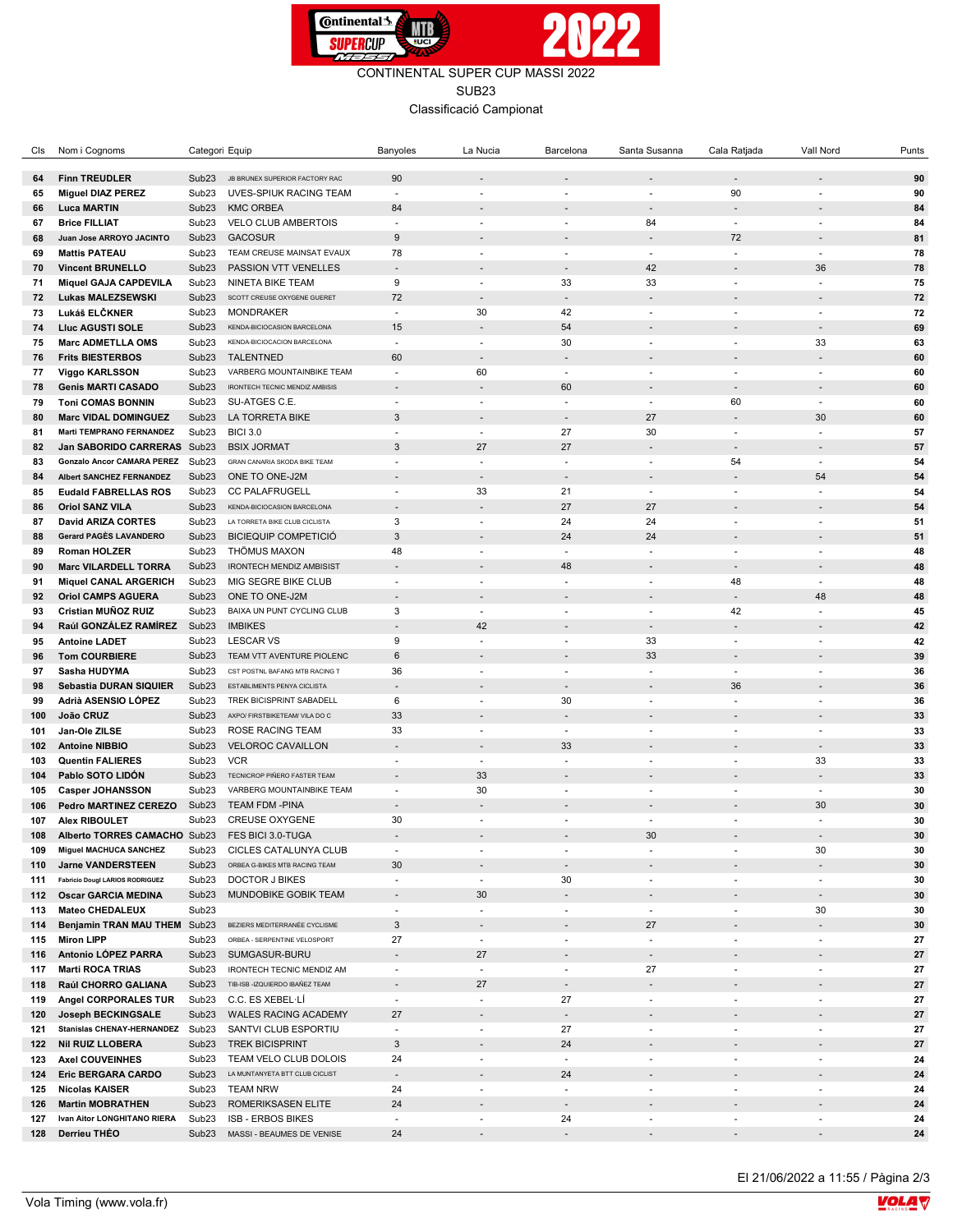

CONTINENTAL SUPER CUP MASSI 2022 SUB23

Classificació Campionat

| Cls        | Nom i Cognoms                     | Categori Equip                         |                                       | Banyoles                 | La Nucia                 | Barcelona                | Santa Susanna                                        | Cala Ratjada             | Vall Nord                     | Punts    |
|------------|-----------------------------------|----------------------------------------|---------------------------------------|--------------------------|--------------------------|--------------------------|------------------------------------------------------|--------------------------|-------------------------------|----------|
|            |                                   |                                        |                                       |                          |                          |                          |                                                      |                          |                               |          |
| 64         | <b>Finn TREUDLER</b>              | Sub <sub>23</sub>                      | JB BRUNEX SUPERIOR FACTORY RAC        | 90                       |                          |                          |                                                      | $\blacksquare$           |                               | 90       |
| 65         | <b>Miguel DIAZ PEREZ</b>          | Sub <sub>23</sub>                      | UVES-SPIUK RACING TEAM                | $\overline{\phantom{a}}$ |                          | $\overline{\phantom{a}}$ | ٠                                                    | 90                       | ٠                             | 90       |
| 66         | <b>Luca MARTIN</b>                | Sub <sub>23</sub>                      | <b>KMC ORBEA</b>                      | 84                       |                          |                          |                                                      | ÷,                       |                               | 84       |
| 67         | <b>Brice FILLIAT</b>              | Sub <sub>23</sub>                      | <b>VELO CLUB AMBERTOIS</b>            | $\sim$                   | ٠                        | ÷.                       | 84                                                   | $\mathbf{r}$             | ä,                            | 84       |
| 68         | Juan Jose ARROYO JACINTO          | Sub <sub>23</sub>                      | <b>GACOSUR</b>                        | $\boldsymbol{9}$         |                          |                          |                                                      | 72                       |                               | 81       |
| 69         | <b>Mattis PATEAU</b>              | Sub <sub>23</sub>                      | TEAM CREUSE MAINSAT EVAUX             | 78                       | $\sim$                   | $\overline{\phantom{a}}$ | ÷                                                    | ä,                       | ä,                            | 78       |
| 70         | <b>Vincent BRUNELLO</b>           | Sub <sub>23</sub>                      | PASSION VTT VENELLES                  | $\sim$                   |                          | $\overline{\phantom{a}}$ | 42                                                   | $\blacksquare$           | 36                            | 78       |
| 71         | <b>Miquel GAJA CAPDEVILA</b>      | Sub <sub>23</sub>                      | NINETA BIKE TEAM                      | 9                        | ٠                        | 33                       | 33                                                   | ÷.                       | ÷.                            | 75       |
| 72         | <b>Lukas MALEZSEWSKI</b>          | Sub <sub>23</sub>                      | SCOTT CREUSE OXYGENE GUERET           | 72                       | $\overline{\phantom{a}}$ | $\overline{\phantom{a}}$ | $\overline{\phantom{a}}$                             | $\overline{\phantom{a}}$ | $\overline{\phantom{a}}$      | 72       |
| 73         | Lukáš ELČKNER                     | Sub <sub>23</sub>                      | <b>MONDRAKER</b>                      | $\blacksquare$           | 30                       | 42                       | $\sim$                                               | ÷.                       | ä,                            | 72       |
| 74         | <b>Lluc AGUSTI SOLE</b>           | Sub <sub>23</sub>                      | <b>KENDA-BICIOCASION BARCELONA</b>    | 15                       |                          | 54                       |                                                      |                          | $\overline{a}$                | 69       |
| 75         | <b>Marc ADMETLLA OMS</b>          | Sub <sub>23</sub>                      | KENDA-BICIOCACION BARCELONA           | $\sim$                   | $\overline{\phantom{a}}$ | 30                       | $\sim$                                               | $\mathbf{r}$             | 33                            | 63       |
| 76         | <b>Frits BIESTERBOS</b>           | Sub <sub>23</sub>                      | <b>TALENTNED</b>                      | 60                       |                          | $\overline{\phantom{a}}$ |                                                      |                          | $\overline{a}$                | 60       |
| 77         | <b>Viggo KARLSSON</b>             | Sub <sub>23</sub>                      | VARBERG MOUNTAINBIKE TEAM             | $\sim$                   | 60                       | ÷.                       | ÷.                                                   | ÷,                       | ÷.                            | 60       |
| 78         | <b>Genis MARTI CASADO</b>         | Sub <sub>23</sub>                      | <b>IRONTECH TECNIC MENDIZ AMBISIS</b> |                          |                          | 60                       |                                                      | $\blacksquare$           |                               | 60       |
| 79         | <b>Toni COMAS BONNIN</b>          | Sub <sub>23</sub>                      | SU-ATGES C.E.                         | $\blacksquare$           | $\overline{\phantom{a}}$ | ÷,                       | ÷,                                                   | 60                       | ä,                            | 60       |
| 80         | <b>Marc VIDAL DOMINGUEZ</b>       | Sub <sub>23</sub>                      | LA TORRETA BIKE                       | 3                        |                          | $\blacksquare$           | 27                                                   | $\blacksquare$           | 30                            | 60       |
| 81         | <b>Marti TEMPRANO FERNANDEZ</b>   | Sub <sub>23</sub>                      | <b>BICI 3.0</b>                       | $\sim$                   | $\overline{\phantom{a}}$ | 27                       | 30                                                   | ÷.                       | ÷.                            | 57       |
| 82         | Jan SABORIDO CARRERAS Sub23       |                                        | <b>BSIX JORMAT</b>                    | 3                        | 27                       | 27                       | $\overline{\phantom{a}}$                             | $\overline{\phantom{a}}$ | $\overline{\phantom{a}}$      | 57       |
| 83         | <b>Gonzalo Ancor CAMARA PEREZ</b> | Sub <sub>23</sub>                      | GRAN CANARIA SKODA BIKE TEAM          | $\sim$                   | $\sim$                   | ٠                        | $\sim$                                               | 54                       | $\sim$                        | 54       |
| 84         | <b>Albert SANCHEZ FERNANDEZ</b>   | Sub <sub>23</sub>                      | ONE TO ONE-J2M                        |                          | $\sim$                   | $\overline{\phantom{a}}$ |                                                      |                          | 54                            | 54       |
| 85         | <b>Eudald FABRELLAS ROS</b>       | Sub <sub>23</sub>                      | <b>CC PALAFRUGELL</b>                 | $\blacksquare$           | 33                       | 21                       | $\overline{\phantom{a}}$                             | $\blacksquare$           | $\overline{\phantom{a}}$      | 54       |
| 86         | <b>Oriol SANZ VILA</b>            | Sub <sub>23</sub>                      | KENDA-BICIOCASION BARCELONA           |                          |                          | 27                       | 27                                                   |                          | $\overline{\phantom{a}}$      | 54       |
| 87         | <b>David ARIZA CORTES</b>         | Sub <sub>23</sub>                      | LA TORRETA BIKE CLUB CICLISTA         | 3                        | ×.                       | 24                       | 24                                                   | ÷,                       | ÷.                            | 51       |
| 88         | Gerard PAGÈS LAVANDERO            | Sub <sub>23</sub>                      | <b>BICIEQUIP COMPETICIÓ</b>           | $\mathbf{3}$             |                          | 24                       | 24                                                   | $\blacksquare$           |                               | 51       |
| 89         | Roman HOLZER                      | Sub <sub>23</sub>                      | THÖMUS MAXON                          | 48                       | $\sim$                   | ÷.                       |                                                      | ä,                       | ä,                            | 48       |
| 90         | <b>Marc VILARDELL TORRA</b>       | Sub <sub>23</sub>                      | <b>IRONTECH MENDIZ AMBISIST</b>       | $\sim$                   |                          | 48                       | $\overline{\phantom{a}}$                             | $\blacksquare$           | $\overline{a}$                | 48       |
| 91         | <b>Miquel CANAL ARGERICH</b>      | Sub <sub>23</sub>                      | MIG SEGRE BIKE CLUB                   | $\sim$                   | ×.                       | ä,                       | ÷.                                                   | 48                       | ÷.                            | 48       |
| 92         | <b>Oriol CAMPS AGUERA</b>         | Sub <sub>23</sub>                      | ONE TO ONE-J2M                        | $\overline{\phantom{a}}$ | $\overline{\phantom{a}}$ | $\blacksquare$           |                                                      | $\blacksquare$           | 48                            | 48       |
| 93         | Cristian MUÑOZ RUIZ               | Sub <sub>23</sub>                      | BAIXA UN PUNT CYCLING CLUB            | 3                        | ٠                        | ٠                        | ÷,                                                   | 42                       | ä,                            | 45       |
| 94         | Raúl GONZÁLEZ RAMÍREZ             | Sub <sub>23</sub>                      | <b>IMBIKES</b>                        | $\overline{\phantom{a}}$ | 42                       |                          |                                                      | $\overline{a}$           |                               | 42       |
| 95         | <b>Antoine LADET</b>              | Sub <sub>23</sub>                      | <b>LESCAR VS</b>                      | 9                        | $\overline{\phantom{a}}$ | ٠                        | 33                                                   | $\blacksquare$           | ٠                             | 42       |
| 96         | <b>Tom COURBIERE</b>              | Sub <sub>23</sub>                      | TEAM VTT AVENTURE PIOLENC             | 6                        |                          |                          | 33                                                   | $\blacksquare$           |                               | 39       |
| 97         | Sasha HUDYMA                      | Sub <sub>23</sub>                      | CST POSTNL BAFANG MTB RACING T        | 36                       | ٠                        | ÷.                       | ÷.                                                   | $\mathbf{r}$             | ä,                            | 36       |
| 98         | Sebastia DURAN SIQUIER            | Sub <sub>23</sub>                      | <b>ESTABLIMENTS PENYA CICLISTA</b>    |                          |                          | $\overline{\phantom{a}}$ |                                                      | 36                       |                               | 36       |
| 99         | Adrià ASENSIO LÓPEZ               | Sub <sub>23</sub>                      | TREK BICISPRINT SABADELL              | 6                        | $\overline{\phantom{a}}$ | 30                       | ä,                                                   | ä,                       | ä,                            | 36       |
| 100        | João CRUZ                         | Sub <sub>23</sub>                      | AXPO/ FIRSTBIKETEAM/ VILA DO C        | 33                       |                          | $\overline{\phantom{a}}$ |                                                      | $\blacksquare$           | $\overline{\phantom{a}}$      | 33       |
| 101        | Jan-Ole ZILSE                     | Sub <sub>23</sub>                      | <b>ROSE RACING TEAM</b>               | 33                       | $\overline{\phantom{a}}$ | $\blacksquare$           | ÷.                                                   | ×.                       | ÷.                            | 33       |
| 102        | <b>Antoine NIBBIO</b>             | Sub <sub>23</sub>                      | <b>VELOROC CAVAILLON</b>              | $\overline{\phantom{a}}$ | $\overline{\phantom{a}}$ | 33                       |                                                      | $\overline{a}$           | $\overline{\phantom{a}}$      | 33       |
| 103        | <b>Quentin FALIERES</b>           | Sub <sub>23</sub>                      | <b>VCR</b>                            | $\sim$                   | $\overline{\phantom{a}}$ | $\sim$                   | ÷,                                                   | ä,                       | 33                            | 33       |
| 104        | Pablo SOTO LIDÓN                  | Sub <sub>23</sub>                      | TECNICROP PIÑERO FASTER TEAM          |                          | 33                       | $\overline{\phantom{a}}$ |                                                      | $\blacksquare$           | ÷.                            | 33       |
| 105        | <b>Casper JOHANSSON</b>           | Sub <sub>23</sub>                      | VARBERG MOUNTAINBIKE TEAM             | $\blacksquare$           | 30                       | ٠                        | ٠                                                    | $\mathbf{r}$             | ٠                             | 30       |
| 106        | <b>Pedro MARTINEZ CEREZO</b>      | Sub <sub>23</sub>                      | <b>TEAM FDM -PINA</b>                 |                          |                          |                          |                                                      |                          | 30                            | 30       |
| 107        | <b>Alex RIBOULET</b>              | Sub <sub>23</sub>                      | <b>CREUSE OXYGENE</b>                 | 30                       | ٠                        | ä,                       | ÷.                                                   | ä,                       |                               | 30       |
| 108        | Alberto TORRES CAMACHO Sub23      |                                        | FES BICI 3.0-TUGA                     |                          |                          |                          | 30                                                   |                          |                               | 30       |
| 109        | <b>Miguel MACHUCA SANCHEZ</b>     | Sub <sub>23</sub>                      | CICLES CATALUNYA CLUB                 |                          |                          |                          |                                                      |                          | 30                            | 30       |
| 110        | <b>Jarne VANDERSTEEN</b>          | Sub <sub>23</sub>                      | ORBEA G-BIKES MTB RACING TEAM         | 30                       |                          |                          |                                                      |                          | $\frac{1}{2}$                 | 30       |
| 111        | Fabricio Dougl LARIOS RODRIGUEZ   | Sub <sub>23</sub>                      | DOCTOR J BIKES                        | $\blacksquare$           | $\overline{\phantom{a}}$ | 30                       | $\overline{\phantom{a}}$                             | $\overline{\phantom{a}}$ | ٠                             | 30       |
| 112        | <b>Oscar GARCIA MEDINA</b>        | Sub <sub>23</sub>                      | MUNDOBIKE GOBIK TEAM                  | $\overline{\phantom{a}}$ | 30                       | $\overline{\phantom{a}}$ | $\overline{\phantom{a}}$                             |                          | $\overline{\phantom{a}}$      | 30       |
| 113        | <b>Mateo CHEDALEUX</b>            | Sub <sub>23</sub>                      |                                       | $\blacksquare$           | $\overline{\phantom{a}}$ | ٠                        | $\overline{\phantom{a}}$                             | ÷,                       | 30                            | 30       |
| 114        | Benjamin TRAN MAU THEM Sub23      |                                        | BEZIERS MEDITERRANÉE CYCLISME         | 3                        | $\overline{\phantom{a}}$ | $\overline{\phantom{a}}$ | 27                                                   | $\blacksquare$           | ÷.                            | 30       |
| 115        | <b>Miron LIPP</b>                 | Sub <sub>23</sub>                      | ORBEA - SERPENTINE VELOSPORT          | 27                       | $\overline{\phantom{a}}$ | $\overline{\phantom{a}}$ | $\blacksquare$                                       | $\overline{\phantom{a}}$ | ۰                             | 27       |
| 116        | Antonio LÓPEZ PARRA               | Sub <sub>23</sub>                      | SUMGASUR-BURU                         |                          | 27                       |                          | $\overline{\phantom{a}}$                             |                          | $\overline{\phantom{a}}$      | 27       |
| 117        | <b>Marti ROCA TRIAS</b>           | Sub <sub>23</sub>                      | IRONTECH TECNIC MENDIZ AM             | $\overline{\phantom{a}}$ | $\sim$                   | $\blacksquare$           | 27                                                   | $\overline{\phantom{a}}$ | $\overline{\phantom{a}}$      | 27       |
| 118        | Raúl CHORRO GALIANA               | Sub <sub>23</sub>                      | TIB-ISB-IZQUIERDO IBAÑEZ TEAM         |                          | 27                       |                          | $\overline{\phantom{a}}$                             |                          |                               | 27       |
| 119        | Angel CORPORALES TUR              | Sub <sub>23</sub>                      | C.C. ES XEBEL·LI                      | $\blacksquare$           | $\overline{\phantom{a}}$ | 27                       | $\blacksquare$                                       | ÷,                       | ÷,                            | 27       |
| 120        | Joseph BECKINGSALE                | Sub <sub>23</sub>                      | <b>WALES RACING ACADEMY</b>           | 27                       | $\overline{\phantom{a}}$ | $\overline{\phantom{a}}$ | $\overline{\phantom{a}}$                             |                          | $\frac{1}{2}$                 | 27       |
| 121        | <b>Stanislas CHENAY-HERNANDEZ</b> | Sub23                                  | SANTVI CLUB ESPORTIU                  | $\overline{\phantom{a}}$ | $\overline{\phantom{a}}$ | 27                       | $\overline{\phantom{a}}$                             | $\blacksquare$           | $\overline{\phantom{a}}$      | 27       |
| 122        | <b>Nil RUIZ LLOBERA</b>           | Sub <sub>23</sub>                      | <b>TREK BICISPRINT</b>                | 3                        | $\overline{\phantom{a}}$ | 24                       | $\overline{\phantom{a}}$                             |                          | $\overline{\phantom{a}}$      | 27       |
| 123        | <b>Axel COUVEINHES</b>            |                                        | TEAM VELO CLUB DOLOIS                 | 24                       | $\overline{\phantom{a}}$ | $\blacksquare$           | $\overline{\phantom{a}}$                             |                          | $\overline{\phantom{a}}$      | 24       |
|            | Eric BERGARA CARDO                | Sub <sub>23</sub><br>Sub <sub>23</sub> | LA MUNTANYETA BTT CLUB CICLIST        | $\blacksquare$           |                          | 24                       | $\overline{\phantom{a}}$                             | $\blacksquare$           | $\overline{\phantom{0}}$      |          |
| 124<br>125 | <b>Nicolas KAISER</b>             | Sub <sub>23</sub>                      |                                       | 24                       | $\overline{\phantom{a}}$ | $\overline{\phantom{a}}$ |                                                      | $\overline{\phantom{a}}$ |                               | 24<br>24 |
| 126        | <b>Martin MOBRATHEN</b>           | Sub <sub>23</sub>                      | <b>TEAM NRW</b><br>ROMERIKSASEN ELITE | 24                       |                          | $\overline{\phantom{a}}$ | $\overline{\phantom{a}}$<br>$\overline{\phantom{a}}$ | $\overline{\phantom{a}}$ | ۰<br>$\overline{\phantom{a}}$ | 24       |
| 127        | Ivan Aitor LONGHITANO RIERA       | Sub <sub>23</sub>                      | <b>ISB - ERBOS BIKES</b>              | $\overline{\phantom{a}}$ | $\overline{\phantom{a}}$ | 24                       | $\blacksquare$                                       | $\blacksquare$           | $\blacksquare$                | 24       |
| 128        | Derrieu THEO                      | Sub <sub>23</sub>                      | MASSI - BEAUMES DE VENISE             | 24                       |                          |                          |                                                      |                          | $\overline{\phantom{a}}$      | 24       |
|            |                                   |                                        |                                       |                          |                          | $\overline{\phantom{a}}$ |                                                      |                          |                               |          |